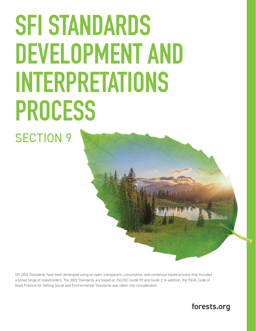# **SFI STANDARDS DEVELOPMENT AND INTERPRETATIONS PROCESS**

**SECTION 9** 

SFI 2022 Standards have been developed using an open, transparent, consultative, and consensus-based process that included a broad range of stakeholders. The 2022 Standards are based on ISO/IEC Guide 59 and Guide 2. In addition, the ISEAL Code of Good Practice for Setting Social and Environmental Standards was taken into consideration.

**forests.org**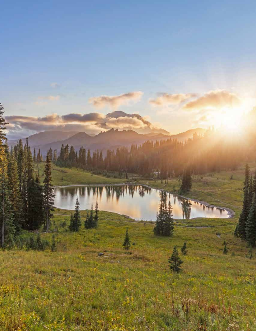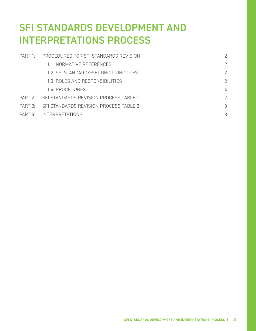## SFI STANDARDS DEVELOPMENT AND INTERPRETATIONS PROCESS

| PART 1: PROCEDURES FOR SFI STANDARDS REVISION  | 2              |
|------------------------------------------------|----------------|
| 1.1 NORMATIVE REFERENCES                       | $\overline{2}$ |
| 1.2 SFI STANDARDS-SETTING PRINCIPLES           | $\overline{2}$ |
| 1.3 ROLES AND RESPONSIBILITIES                 | $\overline{2}$ |
| 1.4 PROCEDURES                                 | 4              |
| PART 2: SFI STANDARDS REVISION PROCESS TABLE 1 | 7              |
| PART 3: SFI STANDARDS REVISION PROCESS TABLE 2 | 8              |
| PART 4: INTERPRETATIONS                        | 8              |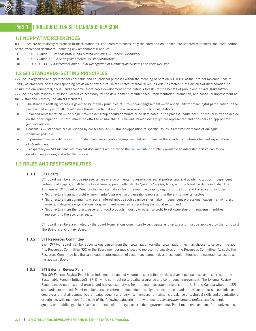### **PART 1: PROCEDURES FOR SFI STANDARDS REVISION**

#### **1.1 NORMATIVE REFERENCES**

ISO Guides are normatively referenced in these standards. For dated references, only the cited edition applies. For undated references, the latest edition of the referenced document (including any amendments) applies.

**MARGARET COMMUNITY** 

- i. ISO/IEC Guide 2, Standardization and related activities General vocabulary.
- ii. ISO/IEC Guide 59, Code of good practice for standardization.
- iii. PEFC GD 1007, Endorsement and Mutual Recognition of Certification Systems and their Revision

#### **1.2 SFI STANDARDS-SETTING PRINCIPLES**

*SFI Inc.* is organized and operated for charitable and educational purposes within the meaning of Section 501(c)(3) of the Internal Revenue Code of 1986, as amended (or the corresponding provision of any future United States Internal Revenue Code), as stated in the Articles of Incorporation, to ensure the environmental, social, and economic sustainable development of the nation's forests, for the benefit of public and private stakeholders. *SFI Inc.* has sole responsibility for all activities necessary for the development, maintenance, implementation, promotion, and continual improvement of the Sustainable Forestry Initiative® standards.

- i. The standards-setting process is governed by the key principles of: Stakeholder engagement an opportunity for meaningful participation in the process that is open to all stakeholders through participation in task groups and public consultations.
- ii. Balanced representation no single stakeholder group should dominate or be dominated in the process. While each individual is free to decide on their participation, *SFI Inc.* makes an effort to ensure that all relevant stakeholder groups are represented and considers an appropriate gender balance.
- iii. Consensus standards are developed by consensus. Any sustained opposition to specific issues is resolved by means of dialogue whenever possible.
- iv. Improvement periodic review of SFI standards seeks continual improvement and to ensure the standards continues to meet expectations of stakeholders.
- v. Transparency *SFI Inc.* ensures relevant documents are posted to the [SFI website](https://www.forests.org) or publicly available so interested parties can follow developments during and after the process.

#### **1.3 ROLES AND RESPONSIBILITIES**

#### 1.3.1 SFI Board

 *SFI* Board members include representatives of environmental, *conservation,* social professional and academic groups, independent professional loggers, small family forest owners, public officials, *Indigenous Peoples*, labor, and the forest products industry. The 18-member *SFI* Board of Directors has representatives from the main geographic regions of the U.S. and Canada and includes:

- Six directors from non-profit environmental/*conservation* organizations representing the environmental sector;
- Six directors from community or social interest groups such as universities, labor, independent professional loggers, family forest owners, Indigenous organizations, or government agencies representing the social sector, and
- Six directors from the forest, paper and wood products industry or other for-profit forest ownership or management entities representing the economic sector.

 *SFI* Board members are invited by the Board Nominations Committee to participate as directors and must be approved by the full Board. The Board is a voluntary Board.

#### 1.3.2 SFI Resources Committee

 Each *SFI Inc.* Board member appoints one person from their organization (or other organization they may choose) to serve on the *SFI Inc.* Resources Committee (RC) or the Board member may choose to represent themselves on the Resources Committee. As such, the Resources Committee has the same equal representation of social, environmental, and economic interests and geographical scope as the *SFI Inc.* Board.

#### 1.3.3 SFI External Review Panel

 The *SFI* External Review Panel is an independent panel of volunteer experts that provides diverse perspectives and expertise to the Sustainable Forestry Initiative® (SFI®) while contributing to quality assurance and continuous improvement. The External Review Panel is made up of external experts and has representatives from the main geographic regions of the U.S. and Canada where the SFI standards are applied. Panel members provide external independent oversight to ensure the standard revision process is objective and credible and that all comments are treated equally and fairly. Its membership maintains a balance of technical skills and organizational experience, with members from each of the following categories — environmental/*conservation* groups, professional/academic groups, and public agencies (*local*, state, provincial, Indigenous or federal governments). Panel members can come from universities,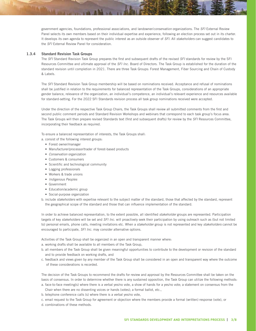government agencies, foundations, professional associations, and landowner/*conservation* organizations. The *SFI* External Review Panel selects its own members based on their individual expertise and experience, following an election process set out in its charter. It develops its own agenda to represent the public interest as an outside observer of *SFI*. All stakeholders can suggest candidates to the *SFI* External Review Panel for consideration.

#### 1.3.4 Standard Revision Task Groups

Territory of the company

 The *SFI* Standard Revision Task Group prepares the first and subsequent drafts of the revised *SFI* standards for review by the SFI Resources Committee and ultimate approval of the *SFI Inc.* Board of Directors. The Task Group is established for the duration of the standard revision until completion in 2021. There are three Task Groups: Forest Management, Fiber Sourcing and Chain of Custody & Labels.

 The *SFI* Standard Revision Task Group membership will be based on nominations received. Acceptance and refusal of nominations shall be justified in relation to the requirements for balanced representation of the Task Groups, considerations of an appropriate gender balance, relevance of the organization, an individual's competence, an individual's relevant experience and resources available for standard-setting. For the 2022 SFI Standards revision process all task group nominations received were accepted.

Under the direction of the respective Task Group Chairs, the Task Groups shall review all submitted comments from the first and second public comment periods and Standard Revision Workshops and webinars that correspond to each task group's focus area. The Task Groups will then prepare revised Standards text (first and subsequent drafts) for review by the *SFI* Resources Committee, incorporating their feedback as required.

To ensure a balanced representation of interests, the Task Groups shall:

a. consist of the following interest groups:

- Forest owner/manager
- Manufacturer/processor/trader of forest-based products
- *Conservation* organization
- Customers & consumers
- Scientific and technological community
- Logging professionals
- Workers & trade unions
- *Indigenous Peoples*
- Government
- Education/academic group
- Social-purpose organization
- b. include stakeholders with expertise relevant to the subject matter of the standard, those that affected by the standard, represent the geographical scope of the standard and those that can influence implementation of the standard.

In order to achieve balanced representation, to the extent possible, all identified stakeholder groups are represented. Participation targets of key stakeholders will be set and *SFI Inc.* will proactively seek their participation by using outreach such as (but not limited to) personal emails, phone calls, meeting invitations etc. When a stakeholder group is not represented and key stakeholders cannot be encouraged to participate, *SFI Inc.* may consider alternative options.

Activities of the Task Group shall be organized in an open and transparent manner where:

- a. working drafts shall be available to all members of the Task Group,
- b. all members of the Task Group shall be given meaningful opportunities to contribute to the development or revision of the standard and to provide feedback on working drafts, and
- c. feedback and views given by any member of the Task Group shall be considered in an open and transparent way where the outcome of these considerations is recorded.

The decision of the Task Groups to recommend the drafts for review and approval by the Resources Committee shall be taken on the basis of consensus. In order to determine whether there is any sustained opposition, the Task Group can utilize the following methods:

- a. face-to-face meeting(s) where there is a verbal yes/no vote, a show of hands for a yes/no vote; a statement on consensus from the Chair when there are no dissenting voices or hands (votes); a formal ballot, etc.,
- b. telephone conference calls (s) where there is a verbal yes/no vote,
- c. email request to the Task Group for agreement or objection where the members provide a formal (written) response (vote), or
- d. combinations of these methods.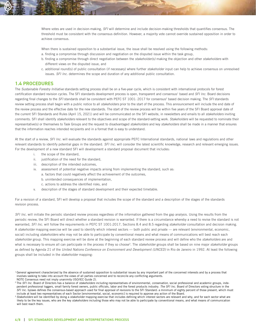Where votes are used in decision-making, *SFI* will determine and include decision-making thresholds that quantifies consensus. The threshold must be consistent with the consensus definition. However, a majority vote cannot override sustained opposition in order to achieve consensus.

**ANGEL MANAGER** 

When there is sustained opposition to a substantial issue, the issue shall be resolved using the following methods:

- a. finding a compromise through discussion and negotiation on the disputed issue within the task group,
- b. finding a compromise through direct negotiation between the stakeholder(s) making the objection and other stakeholders with different views on the disputed issue, and
- c. additional round(s) of public consultation (if necessary) where further stakeholder input can help to achieve consensus on unresolved issues. *SFI Inc.* determines the scope and duration of any additional public consultation.

#### **1.4 PROCEDURES**

The *Sustainable Forestry Initiative* standards setting process shall be on a five-year cycle, which is consistent with international protocols for forest certification standard revision cycles. The SFI standards development process is open, transparent and consensus<sup>1</sup> based and *SFI Inc.* Board decisions regarding final changes to the SFI standards shall be consistent with PEFC ST 1001: 2017 for consensus<sup>2</sup> based decision making. The SFI standards review setting process shall begin with a public notice to all stakeholders prior to the start of the process. This announcement will include the end date of the review process and the effective date for the new standards. The start of the review process will be within five years of the SFI Board approval date of the current SFI Standards and Rules (April 15, 2021) and will be communicated on the SFI website, in newsletters and emails to all stakeholders inviting comments. SFI shall identify stakeholders relevant to the objectives and scope of the standard-setting work. Stakeholders will be requested to nominate their representative(s) or themselves to Task Groups and the request to disadvantaged stakeholders and key stakeholders shall be made in a manner that ensures that the information reaches intended recipients and in a format that is easy to understand.

At the start of a review, *SFI Inc.* will evaluate the standards against appropriate PEFC International standards, national laws and regulations and other relevant standards to identify potential gaps in the standard. *SFI Inc.* will consider the latest scientific knowledge, research and relevant emerging issues. For the development of a new standard SFI will development a standard proposal document that includes:

- i. the scope of the standard,
- ii. justification of the need for the standard,
- iii. description of the intended outcomes,
- iv. assessment of potential negative impacts arising from implementing the standard, such as:
	- a. factors that could negatively affect the achievement of the outcomes,
	- b. unintended consequences of implementation,
	- c. actions to address the identified risks, and
- v. description of the stages of standard development and their expected timetable.

For a revision of a standard, SFI will develop a proposal that includes the scope of the standard and a description of the stages of the standards revision process.

SFI Inc. will initiate the periodic standard review process regardless of the information gathered from the gap analysis. Using the results from the periodic review, the SFI Board will direct whether a standard revision is warranted. If there is a circumstance whereby a need to revise the standard is not warranted, SFI Inc. will follow the requirements in PEFC ST 1001:2017, Sections 8.4 and 8.5 regarding stakeholder consultation and decision making. A stakeholder mapping exercise will be used to identify which interest sectors — both public and private — are relevant (environmental, economic, social) including stakeholders who may not be able to participate by conventional means and what means of communications will best reach each stakeholder group. This mapping exercise will be done at the beginning of each standard review process and will define who the stakeholders are and what is necessary to ensure all can participate in the process if they so choose<sup>3</sup>. The *stakeholder groups* shall be based on nine major *stakeholder groups* as defined by Agenda 21 of the United Nations Conference on Environment and Development (UNCED) in Rio de Janeiro in 1992. At least the following groups shall be included in the stakeholder mapping:

NOTE Consensus need not imply unanimity (ISO/IEC Guide 2).

<sup>&</sup>lt;sup>1</sup> General agreement characterized by the absence of sustained opposition to substantial issues by any important part of the concerned interests and by a process that involves seeking to take into account the views of all parties concerned and to reconcile any conflicting arguments.

<sup>&</sup>lt;sup>2</sup> The *SFI Inc.* Board of Directors has a balance of *stakeholders* including representatives of environmental, *conservation*, social professional and academic groups, independent professional loggers, small family forest owners, public officials, labor and the forest products industry. *The SFI Inc.* Board of Directors voting structure in the SFI Inc. bylaws defines the consensus-based approach used for final approval of revisions to the SFI Standard: a minimum of eighty percent of those present, which must include at least two representatives of each Sector [environmental, social, economic] is required to approve any action of the Board.

<sup>&</sup>lt;sup>3</sup> Stakeholders will be identified by doing a stakeholder mapping exercise that includes defining which interest sectors are relevant and why, and for each sector what are likely to be the key issues, who are the key stakeholders including those who may not be able to participate by conventional means, and what means of communication will best reach them.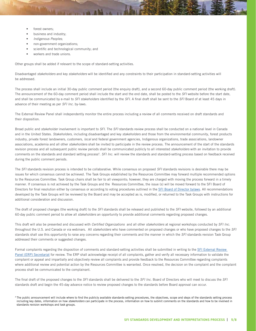- forest owners:
- business and industry;

**Local Company of Law Property Company of Law Property** 

- *Indigenous Peoples*;
- non-government organizations;
- scientific and technological community; and
- workers and trade unions.

Other groups shall be added if relevant to the scope of standard-setting activities.

Disadvantaged stakeholders and key stakeholders will be identified and any constraints to their participation in standard-setting activities will be addressed.

The process shall include an initial 30-day public comment period (the enquiry draft), and a second 60-day public comment period (the working draft). The announcement of the 60-day comment period shall include the start and the end date, shall be posted to the *SFI* website before the start date, and shall be communicated by e-mail to *SFI* stakeholders identified by the *SFI*. A final draft shall be sent to the *SFI* Board of at least 45 days in advance of their meeting as per *SFI Inc*. by-laws.

The External Review Panel shall independently monitor the entire process including a review of all comments received on draft standards and their disposition.

Broad public and stakeholder involvement is important to *SFI*. The *SFI* standards review process shall be conducted on a national level in Canada and in the United States. Stakeholders, including disadvantaged and key stakeholders and those from the environmental community, forest products industry, private forest landowners, customers, *local* and federal government agencies, Indigenous organizations, trade associations, landowner associations, academia and all other stakeholders shall be invited to participate in the review process. The announcement of the start of the standards revision process and all subsequent public review periods shall be communicated publicly to all interested stakeholders with an invitation to provide comments on the standards and standard setting process<sup>4</sup>. SFI Inc. will review the standards and standard-setting process based on feedback received during the public comment periods.

The *SFI* standards revision process is intended to be collaborative. While consensus on proposed *SFI* standards revisions is desirable there may be issues for which consensus cannot be achieved. The Task Groups established by the Resources Committee may forward multiple recommended options to the Resources Committee. Task Group chairs shall be fair to all viewpoints; however, they are charged with moving the process forward in a timely manner. If consensus is not achieved by the Task Groups and the Resources Committee, the issue (s) will be moved forward to the SFI Board of Directors for final resolution either by consensus or according to voting procedures outlined in the [SFI Board of Director bylaws](https://www.forests.org/wp-content/uploads/SFI-Inc-Bylaws-2013.pdf). All recommendations developed by the Task Groups will be reviewed by the Board and may be accepted as is, modified, or returned to the Task Groups with instructions for additional consideration and discussion.

The draft of proposed changes (the working draft) to the *SFI* standards shall be released and published to the *SFI* website, followed by an additional 60-day public comment period to allow all stakeholders an opportunity to provide additional comments regarding proposed changes.

This draft will also be presented and discussed with Certified Organizations and all other stakeholders at regional workshops conducted by *SFI Inc.*  throughout the U.S. and Canada or via webinars. All stakeholders who have commented on proposed changes or who have proposed changes to the *SFI*  standards shall use this opportunity to raise any concerns regarding their comments and the manner in which the *SFI* standards revision Task Group addressed their comments or suggested changes.

Formal complaints regarding the disposition of comments and standard-setting activities shall be submitted in writing to the [SFI External Review](https://www.forests.org/erp/)  [Panel \(ERP\) Secretariat](https://www.forests.org/erp/) for review. The ERP shall acknowledge receipt of all complaints, gather and verify all necessary information to validate the complaint or appeal and impartially and objectively review all complaints and provide feedback to the Resources Committee regarding complaints where additional review and potential action by the Resources Committee is warranted. Once resolved, the decision on the complaint and the complaint process shall be communicated to the complainant.

The final draft of the proposed changes to the *SFI* standards shall be delivered to the *SFI Inc.* Board of Directors who will meet to discuss the *SFI*  standards draft and begin the 45-day advance notice to review proposed changes to the standards before Board approval can occur.

<sup>4</sup>The public announcement will include where to find the publicly available standards-setting procedures, the objectives, scope and steps of the standards setting process including key dates, information on how stakeholders can participate in the process, information on how to submit comments on the standards and how to be involved in standards revision workshops and task groups.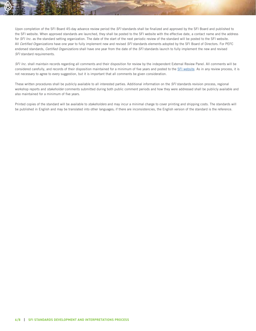Upon completion of the SFI Board 45-day advance review period the *SFI* standards shall be finalized and approved by the SFI Board and published to the SFI website. When approved standards are launched, they shall be posted to the SFI website with the effective date, a contact name and the address for *SFI Inc.* as the standard setting organization. The date of the start of the next periodic review of the standard will be posted to the SFI website. All Certified Organizations have one year to fully implement new and revised *SFI* standards elements adopted by the SFI Board of Directors. For PEFC endorsed standards, Certified Organizations shall have one year from the date of the *SFI* standards launch to fully implement the new and revised *SFI* standard requirements.

*SFI Inc.* shall maintain records regarding all comments and their disposition for review by the independent External Review Panel. All comments will be considered carefully, and records of their disposition maintained for a minimum of five years and posted to the [SFI website](https://www.forests.org). As in any review process, it is not necessary to agree to every suggestion, but it is important that all comments be given consideration.

These written procedures shall be publicly available to all interested parties. Additional information on the *SFI* standards revision process, regional workshop reports and stakeholder comments submitted during both public comment periods and how they were addressed shall be publicly available and also maintained for a minimum of five years.

Printed copies of the standard will be available to stakeholders and may incur a minimal charge to cover printing and shipping costs. The standards will be published in English and may be translated into other languages; if there are inconsistencies, the English version of the standard is the reference.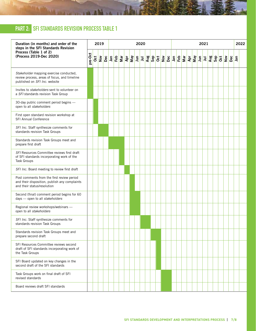## **PART 2: SFI STANDARDS REVISION PROCESS TABLE 1**

Lend of the Second September

| Duration (in months) and order of the<br>steps in the SFI Standards Revision<br>Process (Table 1 of 2)<br>pre-Oct<br>(Process 2019-Dec 2020) |  | 2019 | 2020 |  |  |  |  |  |  |  |  |  |  |  | 2021 |  |  |  |  |  |  |  |  |  |  |  |     | 2022 |
|----------------------------------------------------------------------------------------------------------------------------------------------|--|------|------|--|--|--|--|--|--|--|--|--|--|--|------|--|--|--|--|--|--|--|--|--|--|--|-----|------|
|                                                                                                                                              |  |      |      |  |  |  |  |  |  |  |  |  |  |  |      |  |  |  |  |  |  |  |  |  |  |  | lan |      |
| Stakeholder mapping exercise conducted,<br>review process, areas of focus, and timeline<br>published on SFI Inc. website                     |  |      |      |  |  |  |  |  |  |  |  |  |  |  |      |  |  |  |  |  |  |  |  |  |  |  |     |      |
| Invites to <i>stakeholders</i> sent to volunteer on<br>a SFI standards revision Task Group                                                   |  |      |      |  |  |  |  |  |  |  |  |  |  |  |      |  |  |  |  |  |  |  |  |  |  |  |     |      |
| 30-day public comment period begins -<br>open to all stakeholders                                                                            |  |      |      |  |  |  |  |  |  |  |  |  |  |  |      |  |  |  |  |  |  |  |  |  |  |  |     |      |
| First open standard revision workshop at<br><b>SFI Annual Conference</b>                                                                     |  |      |      |  |  |  |  |  |  |  |  |  |  |  |      |  |  |  |  |  |  |  |  |  |  |  |     |      |
| SFI Inc. Staff synthesize comments for<br>standards revision Task Groups                                                                     |  |      |      |  |  |  |  |  |  |  |  |  |  |  |      |  |  |  |  |  |  |  |  |  |  |  |     |      |
| Standards revision Task Groups meet and<br>prepare first draft                                                                               |  |      |      |  |  |  |  |  |  |  |  |  |  |  |      |  |  |  |  |  |  |  |  |  |  |  |     |      |
| SFI Resources Committee reviews first draft<br>of SFI standards incorporating work of the<br>Task Groups                                     |  |      |      |  |  |  |  |  |  |  |  |  |  |  |      |  |  |  |  |  |  |  |  |  |  |  |     |      |
| SFI Inc. Board meeting to review first draft                                                                                                 |  |      |      |  |  |  |  |  |  |  |  |  |  |  |      |  |  |  |  |  |  |  |  |  |  |  |     |      |
| Post comments from the first review period<br>and their disposition, publish any complaints<br>and their status/resolution                   |  |      |      |  |  |  |  |  |  |  |  |  |  |  |      |  |  |  |  |  |  |  |  |  |  |  |     |      |
| Second (final) comment period begins for 60<br>days - open to all stakeholders                                                               |  |      |      |  |  |  |  |  |  |  |  |  |  |  |      |  |  |  |  |  |  |  |  |  |  |  |     |      |
| Regional review workshops/webinars -<br>open to all stakeholders                                                                             |  |      |      |  |  |  |  |  |  |  |  |  |  |  |      |  |  |  |  |  |  |  |  |  |  |  |     |      |
| SFI Inc. Staff synthesize comments for<br>standards revision Task Groups                                                                     |  |      |      |  |  |  |  |  |  |  |  |  |  |  |      |  |  |  |  |  |  |  |  |  |  |  |     |      |
| Standards revision Task Groups meet and<br>prepare second draft                                                                              |  |      |      |  |  |  |  |  |  |  |  |  |  |  |      |  |  |  |  |  |  |  |  |  |  |  |     |      |
| SFI Resources Committee reviews second<br>draft of SFI standards incorporating work of<br>the Task Groups                                    |  |      |      |  |  |  |  |  |  |  |  |  |  |  |      |  |  |  |  |  |  |  |  |  |  |  |     |      |
| SFI Board updated on key changes in the<br>second draft of the SFI standards                                                                 |  |      |      |  |  |  |  |  |  |  |  |  |  |  |      |  |  |  |  |  |  |  |  |  |  |  |     |      |
| Task Groups work on final draft of SFI<br>revised standards                                                                                  |  |      |      |  |  |  |  |  |  |  |  |  |  |  |      |  |  |  |  |  |  |  |  |  |  |  |     |      |
| Board reviews draft SFI standards                                                                                                            |  |      |      |  |  |  |  |  |  |  |  |  |  |  |      |  |  |  |  |  |  |  |  |  |  |  |     |      |